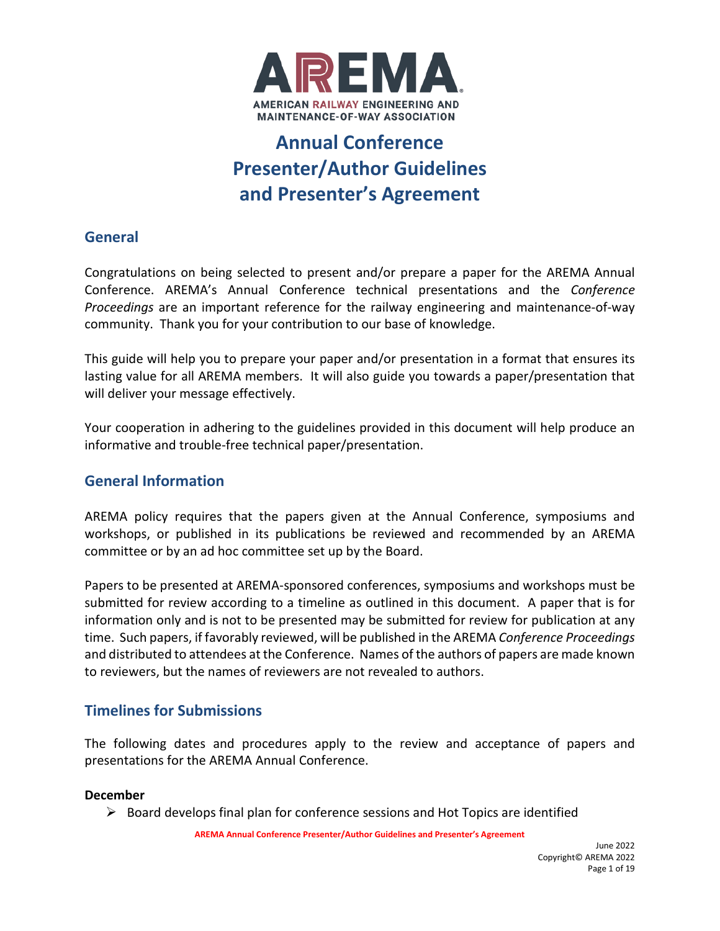

# **Annual Conference Presenter/Author Guidelines and Presenter's Agreement**

# **General**

Congratulations on being selected to present and/or prepare a paper for the AREMA Annual Conference. AREMA's Annual Conference technical presentations and the *Conference Proceedings* are an important reference for the railway engineering and maintenance-of-way community. Thank you for your contribution to our base of knowledge.

This guide will help you to prepare your paper and/or presentation in a format that ensures its lasting value for all AREMA members. It will also guide you towards a paper/presentation that will deliver your message effectively.

Your cooperation in adhering to the guidelines provided in this document will help produce an informative and trouble-free technical paper/presentation.

# **General Information**

AREMA policy requires that the papers given at the Annual Conference, symposiums and workshops, or published in its publications be reviewed and recommended by an AREMA committee or by an ad hoc committee set up by the Board.

Papers to be presented at AREMA-sponsored conferences, symposiums and workshops must be submitted for review according to a timeline as outlined in this document. A paper that is for information only and is not to be presented may be submitted for review for publication at any time. Such papers, if favorably reviewed, will be published in the AREMA *Conference Proceedings* and distributed to attendees at the Conference. Names of the authors of papers are made known to reviewers, but the names of reviewers are not revealed to authors.

# **Timelines for Submissions**

The following dates and procedures apply to the review and acceptance of papers and presentations for the AREMA Annual Conference.

### **December**

 $\triangleright$  Board develops final plan for conference sessions and Hot Topics are identified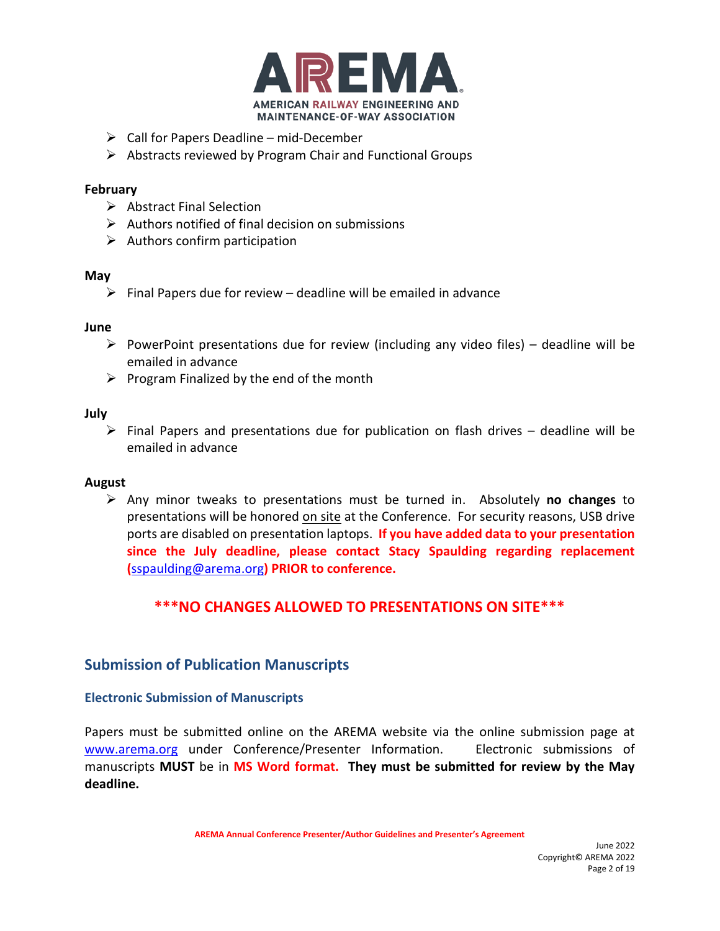

- $\triangleright$  Call for Papers Deadline mid-December
- $\triangleright$  Abstracts reviewed by Program Chair and Functional Groups

### **February**

- $\triangleright$  Abstract Final Selection
- $\triangleright$  Authors notified of final decision on submissions
- $\triangleright$  Authors confirm participation

#### **May**

 $\triangleright$  Final Papers due for review – deadline will be emailed in advance

### **June**

- PowerPoint presentations due for review (including any video files) deadline will be emailed in advance
- $\triangleright$  Program Finalized by the end of the month

#### **July**

 $\triangleright$  Final Papers and presentations due for publication on flash drives – deadline will be emailed in advance

### **August**

 Any minor tweaks to presentations must be turned in. Absolutely **no changes** to presentations will be honored on site at the Conference. For security reasons, USB drive ports are disabled on presentation laptops. **If you have added data to your presentation since the July deadline, please contact Stacy Spaulding regarding replacement (**[sspaulding@arema.org](mailto:sspaulding@arema.org)**) PRIOR to conference.**

# **\*\*\*NO CHANGES ALLOWED TO PRESENTATIONS ON SITE\*\*\***

### **Submission of Publication Manuscripts**

### **Electronic Submission of Manuscripts**

Papers must be submitted online on the AREMA website via the online submission page at [www.arema.org](http://www.arema.org/) under Conference/Presenter Information. Electronic submissions of manuscripts **MUST** be in **MS Word format. They must be submitted for review by the May deadline.**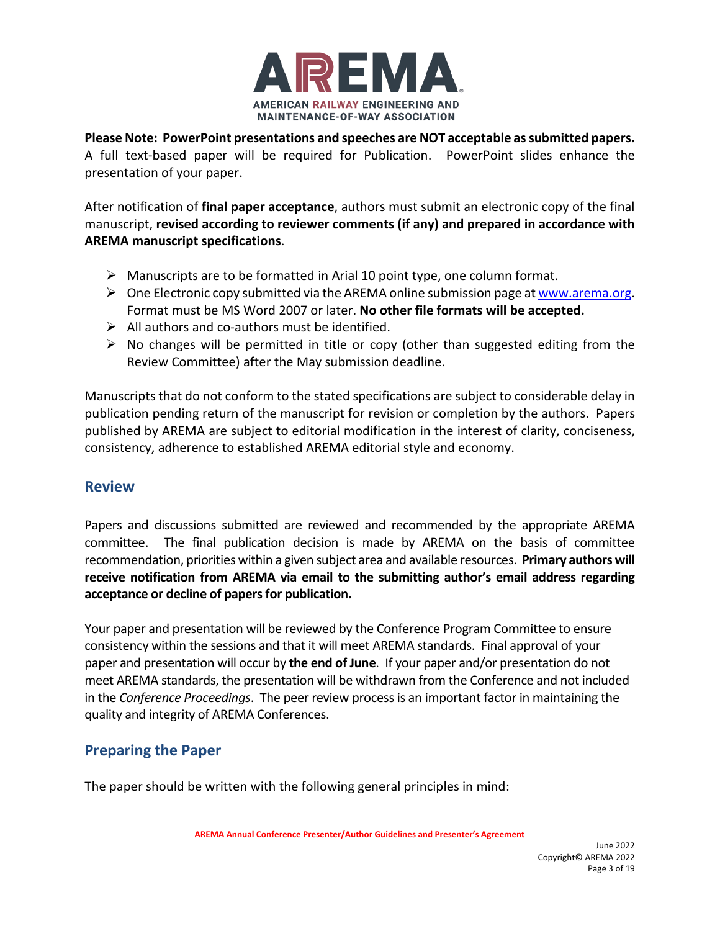

**Please Note: PowerPoint presentations and speeches are NOT acceptable as submitted papers.** A full text-based paper will be required for Publication. PowerPoint slides enhance the presentation of your paper.

After notification of **final paper acceptance**, authors must submit an electronic copy of the final manuscript, **revised according to reviewer comments (if any) and prepared in accordance with AREMA manuscript specifications**.

- $\triangleright$  Manuscripts are to be formatted in Arial 10 point type, one column format.
- $\triangleright$  One Electronic copy submitted via the AREMA online submission page at [www.arema.org.](http://www.arema.org/) Format must be MS Word 2007 or later. **No other file formats will be accepted.**
- $\triangleright$  All authors and co-authors must be identified.
- $\triangleright$  No changes will be permitted in title or copy (other than suggested editing from the Review Committee) after the May submission deadline.

Manuscripts that do not conform to the stated specifications are subject to considerable delay in publication pending return of the manuscript for revision or completion by the authors. Papers published by AREMA are subject to editorial modification in the interest of clarity, conciseness, consistency, adherence to established AREMA editorial style and economy.

# **Review**

Papers and discussions submitted are reviewed and recommended by the appropriate AREMA committee. The final publication decision is made by AREMA on the basis of committee recommendation, priorities within a given subject area and available resources. **Primary authors will receive notification from AREMA via email to the submitting author's email address regarding acceptance or decline of papers for publication.**

Your paper and presentation will be reviewed by the Conference Program Committee to ensure consistency within the sessions and that it will meet AREMA standards. Final approval of your paper and presentation will occur by **the end of June**. If your paper and/or presentation do not meet AREMA standards, the presentation will be withdrawn from the Conference and not included in the *Conference Proceedings*. The peer review process is an important factor in maintaining the quality and integrity of AREMA Conferences.

# **Preparing the Paper**

The paper should be written with the following general principles in mind: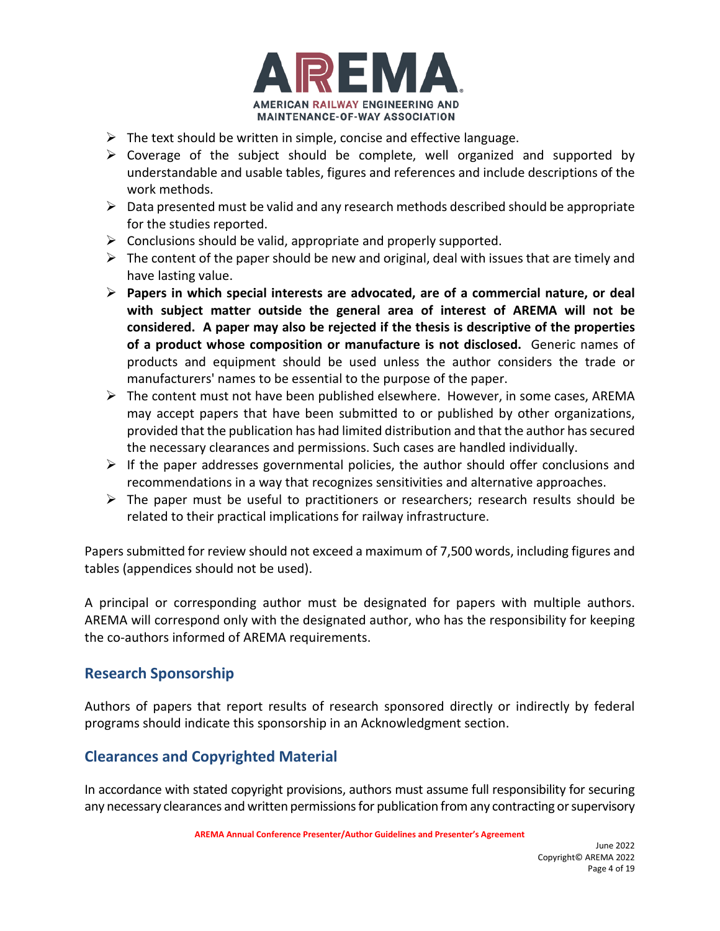

- $\triangleright$  The text should be written in simple, concise and effective language.
- $\triangleright$  Coverage of the subject should be complete, well organized and supported by understandable and usable tables, figures and references and include descriptions of the work methods.
- $\triangleright$  Data presented must be valid and any research methods described should be appropriate for the studies reported.
- $\triangleright$  Conclusions should be valid, appropriate and properly supported.
- $\triangleright$  The content of the paper should be new and original, deal with issues that are timely and have lasting value.
- **Papers in which special interests are advocated, are of a commercial nature, or deal with subject matter outside the general area of interest of AREMA will not be considered. A paper may also be rejected if the thesis is descriptive of the properties of a product whose composition or manufacture is not disclosed.** Generic names of products and equipment should be used unless the author considers the trade or manufacturers' names to be essential to the purpose of the paper.
- $\triangleright$  The content must not have been published elsewhere. However, in some cases, AREMA may accept papers that have been submitted to or published by other organizations, provided that the publication has had limited distribution and that the author has secured the necessary clearances and permissions. Such cases are handled individually.
- $\triangleright$  If the paper addresses governmental policies, the author should offer conclusions and recommendations in a way that recognizes sensitivities and alternative approaches.
- $\triangleright$  The paper must be useful to practitioners or researchers; research results should be related to their practical implications for railway infrastructure.

Papers submitted for review should not exceed a maximum of 7,500 words, including figures and tables (appendices should not be used).

A principal or corresponding author must be designated for papers with multiple authors. AREMA will correspond only with the designated author, who has the responsibility for keeping the co-authors informed of AREMA requirements.

# **Research Sponsorship**

Authors of papers that report results of research sponsored directly or indirectly by federal programs should indicate this sponsorship in an Acknowledgment section.

# **Clearances and Copyrighted Material**

In accordance with stated copyright provisions, authors must assume full responsibility for securing any necessary clearances and written permissions for publication from any contracting or supervisory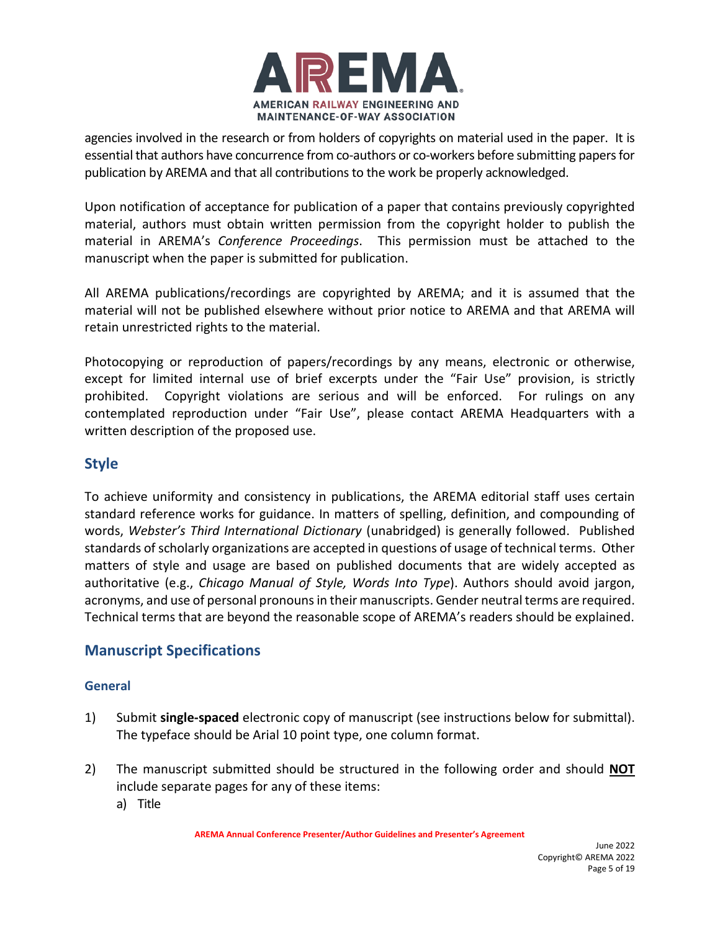

agencies involved in the research or from holders of copyrights on material used in the paper. It is essential that authors have concurrence from co-authors or co-workers before submitting papers for publication by AREMA and that all contributions to the work be properly acknowledged.

Upon notification of acceptance for publication of a paper that contains previously copyrighted material, authors must obtain written permission from the copyright holder to publish the material in AREMA's *Conference Proceedings*. This permission must be attached to the manuscript when the paper is submitted for publication.

All AREMA publications/recordings are copyrighted by AREMA; and it is assumed that the material will not be published elsewhere without prior notice to AREMA and that AREMA will retain unrestricted rights to the material.

Photocopying or reproduction of papers/recordings by any means, electronic or otherwise, except for limited internal use of brief excerpts under the "Fair Use" provision, is strictly prohibited. Copyright violations are serious and will be enforced. For rulings on any contemplated reproduction under "Fair Use", please contact AREMA Headquarters with a written description of the proposed use.

# **Style**

To achieve uniformity and consistency in publications, the AREMA editorial staff uses certain standard reference works for guidance. In matters of spelling, definition, and compounding of words, *Webster's Third International Dictionary* (unabridged) is generally followed. Published standards of scholarly organizations are accepted in questions of usage of technical terms. Other matters of style and usage are based on published documents that are widely accepted as authoritative (e.g., *Chicago Manual of Style, Words Into Type*). Authors should avoid jargon, acronyms, and use of personal pronouns in their manuscripts. Gender neutral terms are required. Technical terms that are beyond the reasonable scope of AREMA's readers should be explained.

# **Manuscript Specifications**

### **General**

- 1) Submit **single-spaced** electronic copy of manuscript (see instructions below for submittal). The typeface should be Arial 10 point type, one column format.
- 2) The manuscript submitted should be structured in the following order and should **NOT** include separate pages for any of these items:
	- a) Title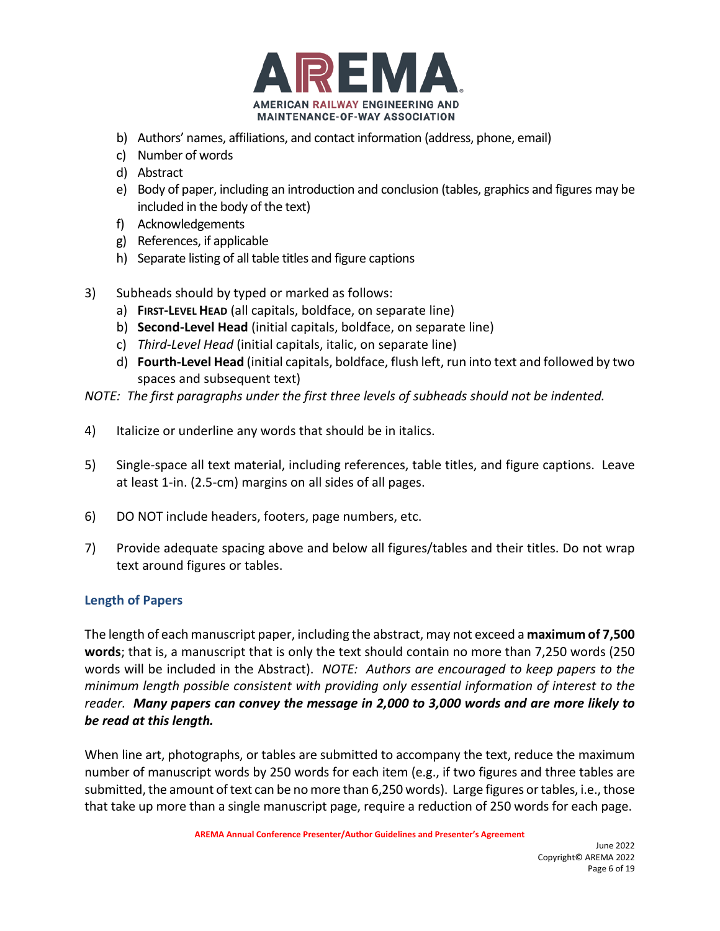

- b) Authors' names, affiliations, and contact information (address, phone, email)
- c) Number of words
- d) Abstract
- e) Body of paper, including an introduction and conclusion (tables, graphics and figures may be included in the body of the text)
- f) Acknowledgements
- g) References, if applicable
- h) Separate listing of all table titles and figure captions
- 3) Subheads should by typed or marked as follows:
	- a) **FIRST-LEVEL HEAD** (all capitals, boldface, on separate line)
	- b) **Second-Level Head** (initial capitals, boldface, on separate line)
	- c) *Third-Level Head* (initial capitals, italic, on separate line)
	- d) **Fourth-Level Head** (initial capitals, boldface, flush left, run into text and followed by two spaces and subsequent text)
- *NOTE: The first paragraphs under the first three levels of subheads should not be indented.*
- 4) Italicize or underline any words that should be in italics.
- 5) Single-space all text material, including references, table titles, and figure captions. Leave at least 1-in. (2.5-cm) margins on all sides of all pages.
- 6) DO NOT include headers, footers, page numbers, etc.
- 7) Provide adequate spacing above and below all figures/tables and their titles. Do not wrap text around figures or tables.

### **Length of Papers**

The length of each manuscript paper, including the abstract, may not exceed a **maximum of 7,500 words**; that is, a manuscript that is only the text should contain no more than 7,250 words (250 words will be included in the Abstract). *NOTE: Authors are encouraged to keep papers to the minimum length possible consistent with providing only essential information of interest to the reader. Many papers can convey the message in 2,000 to 3,000 words and are more likely to be read at this length.*

When line art, photographs, or tables are submitted to accompany the text, reduce the maximum number of manuscript words by 250 words for each item (e.g., if two figures and three tables are submitted, the amount of text can be no more than 6,250 words). Large figures or tables, i.e., those that take up more than a single manuscript page, require a reduction of 250 words for each page.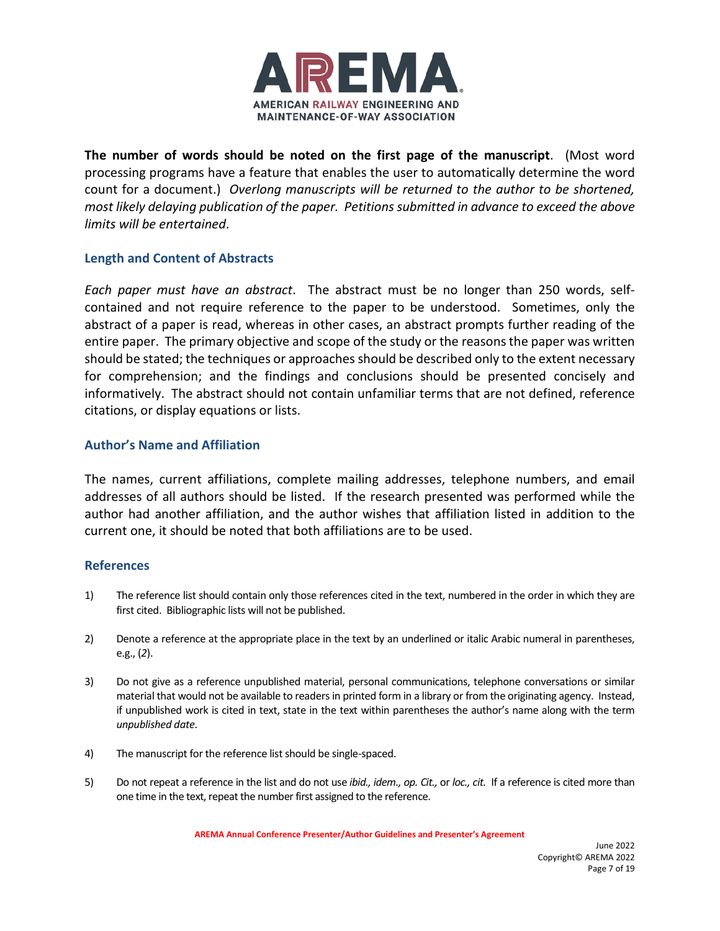

**The number of words should be noted on the first page of the manuscript**. (Most word processing programs have a feature that enables the user to automatically determine the word count for a document.) *Overlong manuscripts will be returned to the author to be shortened, most likely delaying publication of the paper. Petitions submitted in advance to exceed the above limits will be entertained*.

#### **Length and Content of Abstracts**

*Each paper must have an abstract*. The abstract must be no longer than 250 words, selfcontained and not require reference to the paper to be understood. Sometimes, only the abstract of a paper is read, whereas in other cases, an abstract prompts further reading of the entire paper. The primary objective and scope of the study or the reasons the paper was written should be stated; the techniques or approaches should be described only to the extent necessary for comprehension; and the findings and conclusions should be presented concisely and informatively. The abstract should not contain unfamiliar terms that are not defined, reference citations, or display equations or lists.

#### **Author's Name and Affiliation**

The names, current affiliations, complete mailing addresses, telephone numbers, and email addresses of all authors should be listed. If the research presented was performed while the author had another affiliation, and the author wishes that affiliation listed in addition to the current one, it should be noted that both affiliations are to be used.

#### **References**

- 1) The reference list should contain only those references cited in the text, numbered in the order in which they are first cited. Bibliographic lists will not be published.
- 2) Denote a reference at the appropriate place in the text by an underlined or italic Arabic numeral in parentheses, e.g., (*2*).
- 3) Do not give as a reference unpublished material, personal communications, telephone conversations or similar material that would not be available to readers in printed form in a library or from the originating agency. Instead, if unpublished work is cited in text, state in the text within parentheses the author's name along with the term *unpublished date*.
- 4) The manuscript for the reference list should be single-spaced.
- 5) Do not repeat a reference in the list and do not use *ibid., idem., op. Cit.,* or *loc., cit.* If a reference is cited more than one time in the text, repeat the number first assigned to the reference.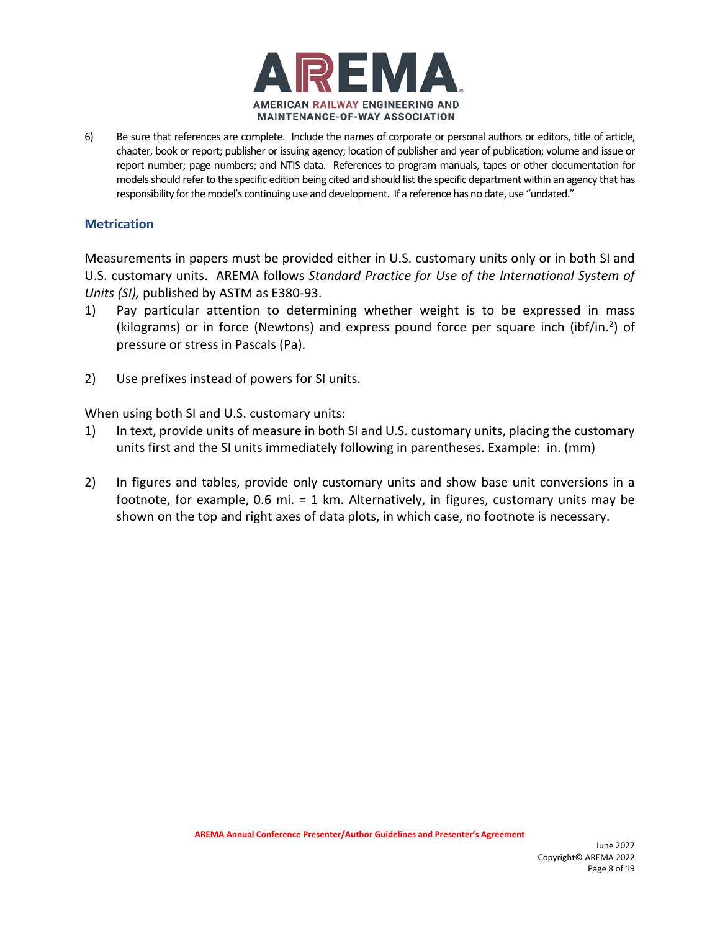

6) Be sure that references are complete. Include the names of corporate or personal authors or editors, title of article, chapter, book or report; publisher or issuing agency; location of publisher and year of publication; volume and issue or report number; page numbers; and NTIS data. References to program manuals, tapes or other documentation for models should refer to the specific edition being cited and should list the specific department within an agency that has responsibility for the model's continuing use and development. If a reference has no date, use "undated."

#### **Metrication**

Measurements in papers must be provided either in U.S. customary units only or in both SI and U.S. customary units. AREMA follows *Standard Practice for Use of the International System of Units (SI),* published by ASTM as E380-93.

- 1) Pay particular attention to determining whether weight is to be expressed in mass (kilograms) or in force (Newtons) and express pound force per square inch (ibf/in.<sup>2</sup>) of pressure or stress in Pascals (Pa).
- 2) Use prefixes instead of powers for SI units.

When using both SI and U.S. customary units:

- 1) In text, provide units of measure in both SI and U.S. customary units, placing the customary units first and the SI units immediately following in parentheses. Example: in. (mm)
- 2) In figures and tables, provide only customary units and show base unit conversions in a footnote, for example, 0.6 mi. = 1 km. Alternatively, in figures, customary units may be shown on the top and right axes of data plots, in which case, no footnote is necessary.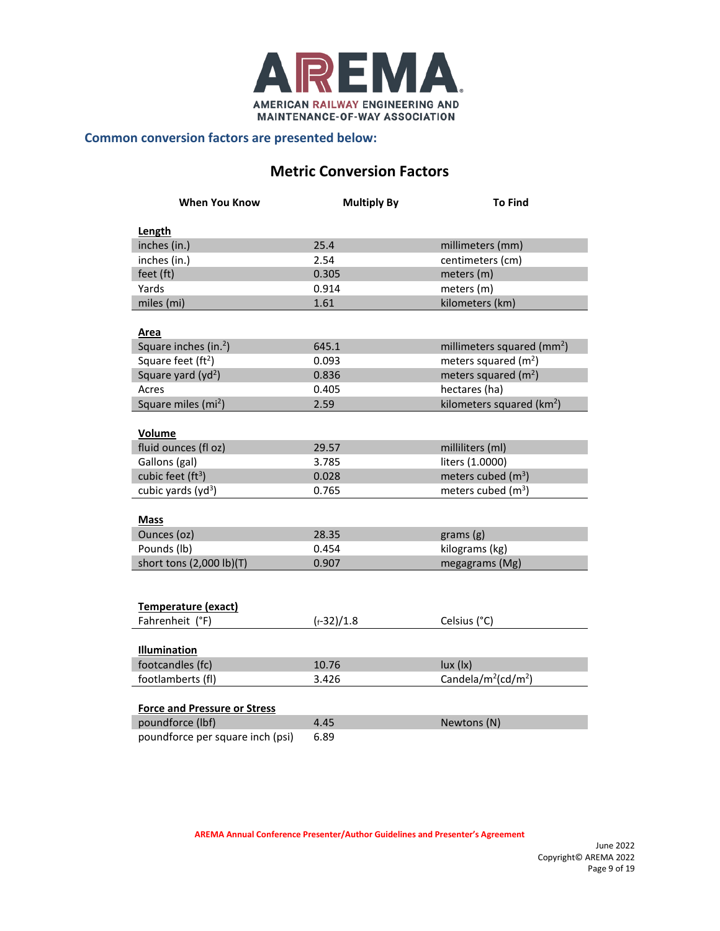

#### **Common conversion factors are presented below:**

# **Metric Conversion Factors**

| <b>When You Know</b>                | <b>Multiply By</b> | <b>To Find</b>                              |
|-------------------------------------|--------------------|---------------------------------------------|
| Length                              |                    |                                             |
| inches (in.)                        | 25.4               | millimeters (mm)                            |
| inches (in.)                        | 2.54               | centimeters (cm)                            |
| feet (ft)                           | 0.305              | meters (m)                                  |
| Yards                               | 0.914              | meters (m)                                  |
| miles (mi)                          | 1.61               | kilometers (km)                             |
|                                     |                    |                                             |
| Area                                |                    |                                             |
| Square inches (in. <sup>2</sup> )   | 645.1              | millimeters squared (mm <sup>2</sup> )      |
| Square feet (ft <sup>2</sup> )      | 0.093              | meters squared $(m2)$                       |
| Square yard (yd <sup>2</sup> )      | 0.836              | meters squared $(m2)$                       |
| Acres                               | 0.405              | hectares (ha)                               |
| Square miles (mi <sup>2</sup> )     | 2.59               | kilometers squared ( $km2$ )                |
|                                     |                    |                                             |
| Volume                              |                    |                                             |
| fluid ounces (fl oz)                | 29.57              | milliliters (ml)                            |
| Gallons (gal)                       | 3.785              | liters (1.0000)                             |
| cubic feet (ft <sup>3</sup> )       | 0.028              | meters cubed $(m3)$                         |
| cubic yards $(yd3)$                 | 0.765              | meters cubed $(m3)$                         |
|                                     |                    |                                             |
| <b>Mass</b>                         |                    |                                             |
| Ounces (oz)                         | 28.35              | grams(g)                                    |
| Pounds (lb)                         | 0.454              | kilograms (kg)                              |
| short tons (2,000 lb)(T)            | 0.907              | megagrams (Mg)                              |
|                                     |                    |                                             |
|                                     |                    |                                             |
| Temperature (exact)                 |                    |                                             |
| Fahrenheit (°F)                     | $(r-32)/1.8$       | Celsius (°C)                                |
|                                     |                    |                                             |
| Illumination                        |                    |                                             |
| footcandles (fc)                    | 10.76              | lux(lx)                                     |
| footlamberts (fl)                   | 3.426              | Candela/m <sup>2</sup> (cd/m <sup>2</sup> ) |
|                                     |                    |                                             |
| <b>Force and Pressure or Stress</b> |                    |                                             |
| poundforce (lbf)                    | 4.45               | Newtons (N)                                 |
| poundforce per square inch (psi)    | 6.89               |                                             |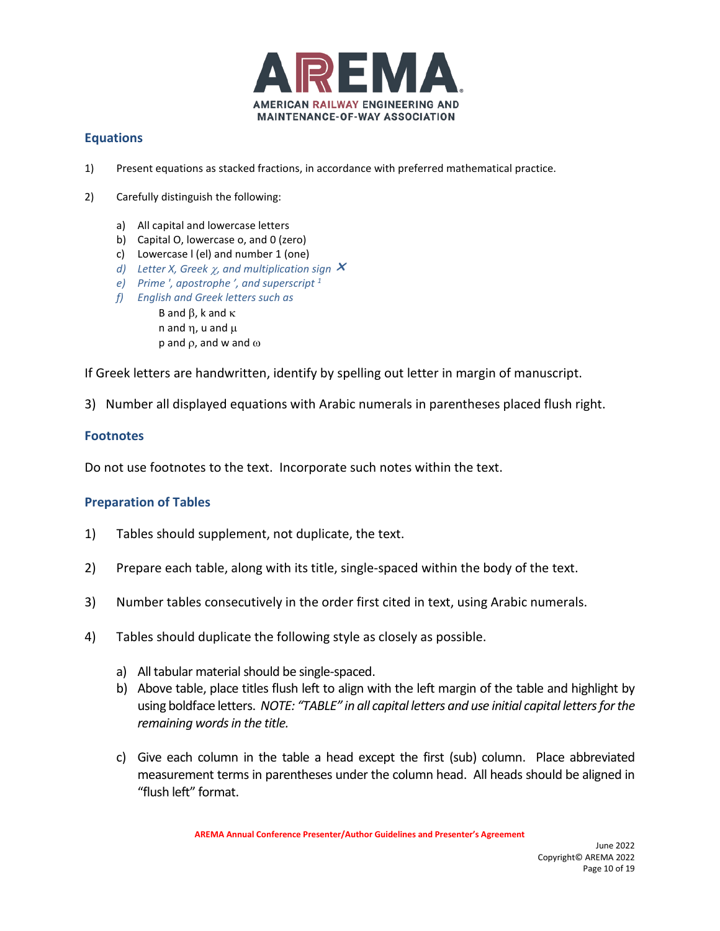

### **Equations**

- 1) Present equations as stacked fractions, in accordance with preferred mathematical practice.
- 2) Carefully distinguish the following:
	- a) All capital and lowercase letters
	- b) Capital O, lowercase o, and 0 (zero)
	- c) Lowercase l (el) and number 1 (one)
	- *d) Letter X, Greek* χ*, and multiplication sign*
	- *e) Prime ', apostrophe ', and superscript 1*
	- *f) English and Greek letters such as*  B and  $β$ , k and  $κ$ n and  $\eta$ , u and  $\mu$ 
		- p and ρ, and w and ω

If Greek letters are handwritten, identify by spelling out letter in margin of manuscript.

3) Number all displayed equations with Arabic numerals in parentheses placed flush right.

### **Footnotes**

Do not use footnotes to the text. Incorporate such notes within the text.

### **Preparation of Tables**

- 1) Tables should supplement, not duplicate, the text.
- 2) Prepare each table, along with its title, single-spaced within the body of the text.
- 3) Number tables consecutively in the order first cited in text, using Arabic numerals.
- 4) Tables should duplicate the following style as closely as possible.
	- a) All tabular material should be single-spaced.
	- b) Above table, place titles flush left to align with the left margin of the table and highlight by using boldface letters. *NOTE: "TABLE" in all capital letters and use initial capital letters for the remaining words in the title.*
	- c) Give each column in the table a head except the first (sub) column. Place abbreviated measurement terms in parentheses under the column head. All heads should be aligned in "flush left" format.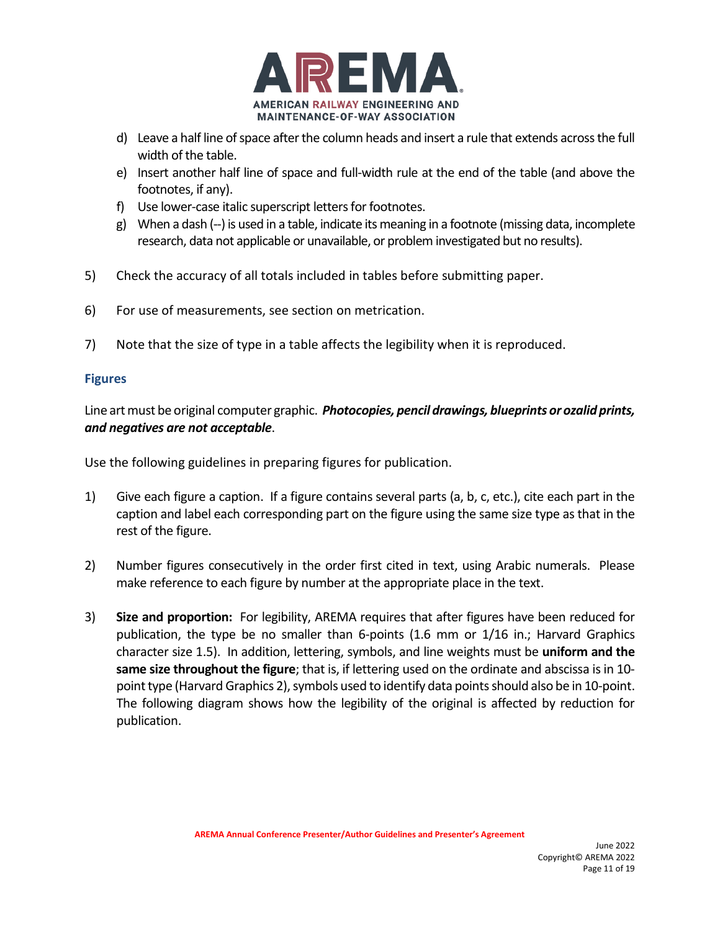

- d) Leave a half line of space after the column heads and insert a rule that extends across the full width of the table.
- e) Insert another half line of space and full-width rule at the end of the table (and above the footnotes, if any).
- f) Use lower-case italic superscript letters for footnotes.
- g) When a dash (--) is used in a table, indicate its meaning in a footnote (missing data, incomplete research, data not applicable or unavailable, or problem investigated but no results).
- 5) Check the accuracy of all totals included in tables before submitting paper.
- 6) For use of measurements, see section on metrication.
- 7) Note that the size of type in a table affects the legibility when it is reproduced.

## **Figures**

Line art must be original computer graphic. *Photocopies, pencil drawings, blueprints or ozalid prints, and negatives are not acceptable*.

Use the following guidelines in preparing figures for publication.

- 1) Give each figure a caption. If a figure contains several parts (a, b, c, etc.), cite each part in the caption and label each corresponding part on the figure using the same size type as that in the rest of the figure.
- 2) Number figures consecutively in the order first cited in text, using Arabic numerals. Please make reference to each figure by number at the appropriate place in the text.
- 3) **Size and proportion:** For legibility, AREMA requires that after figures have been reduced for publication, the type be no smaller than 6-points (1.6 mm or 1/16 in.; Harvard Graphics character size 1.5). In addition, lettering, symbols, and line weights must be **uniform and the same size throughout the figure**; that is, if lettering used on the ordinate and abscissa is in 10 point type (Harvard Graphics 2), symbols used to identify data points should also be in 10-point. The following diagram shows how the legibility of the original is affected by reduction for publication.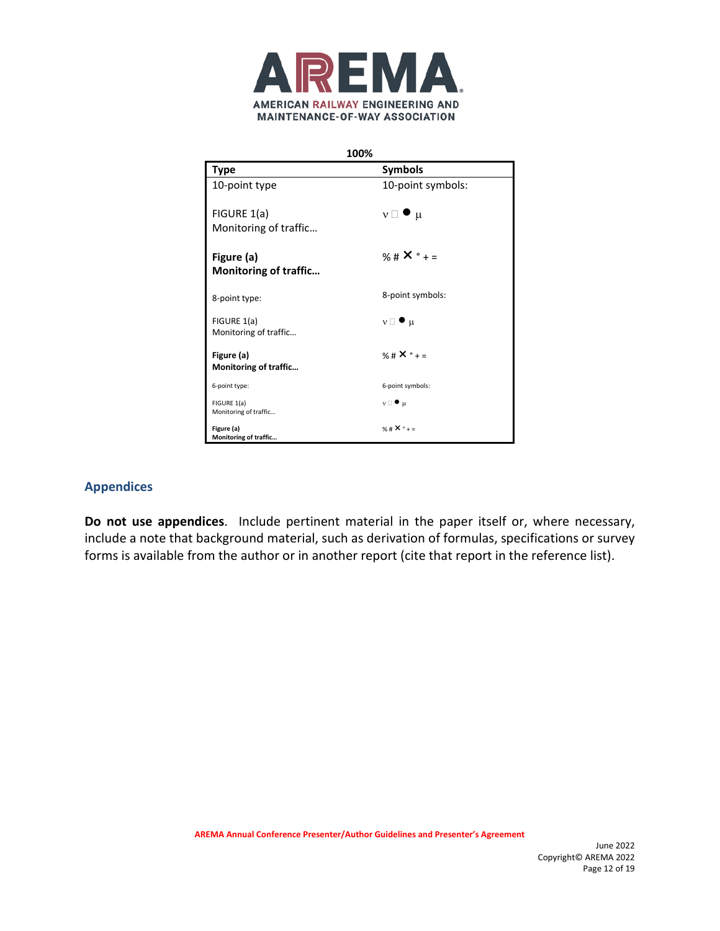

| 100%                                 |                          |  |
|--------------------------------------|--------------------------|--|
| <b>Type</b>                          | <b>Symbols</b>           |  |
| 10-point type                        | 10-point symbols:        |  |
| FIGURE 1(a)                          | $v \Box \bullet \mu$     |  |
| Monitoring of traffic                |                          |  |
| Figure (a)                           | % # $X^{\circ}$ + =      |  |
| <b>Monitoring of traffic</b>         |                          |  |
| 8-point type:                        | 8-point symbols:         |  |
| FIGURE 1(a)<br>Monitoring of traffic | $v \Box$ $\bullet$ $\mu$ |  |
|                                      | % # $X^{\circ}$ + =      |  |
| Figure (a)<br>Monitoring of traffic  |                          |  |
| 6-point type:                        | 6-point symbols:         |  |
| FIGURE 1(a)<br>Monitoring of traffic | $v \Box$ $\bullet$ $\mu$ |  |
| Figure (a)<br>Monitoring of traffic  | % # $X^{\circ}$ + =      |  |

### **Appendices**

**Do not use appendices**. Include pertinent material in the paper itself or, where necessary, include a note that background material, such as derivation of formulas, specifications or survey forms is available from the author or in another report (cite that report in the reference list).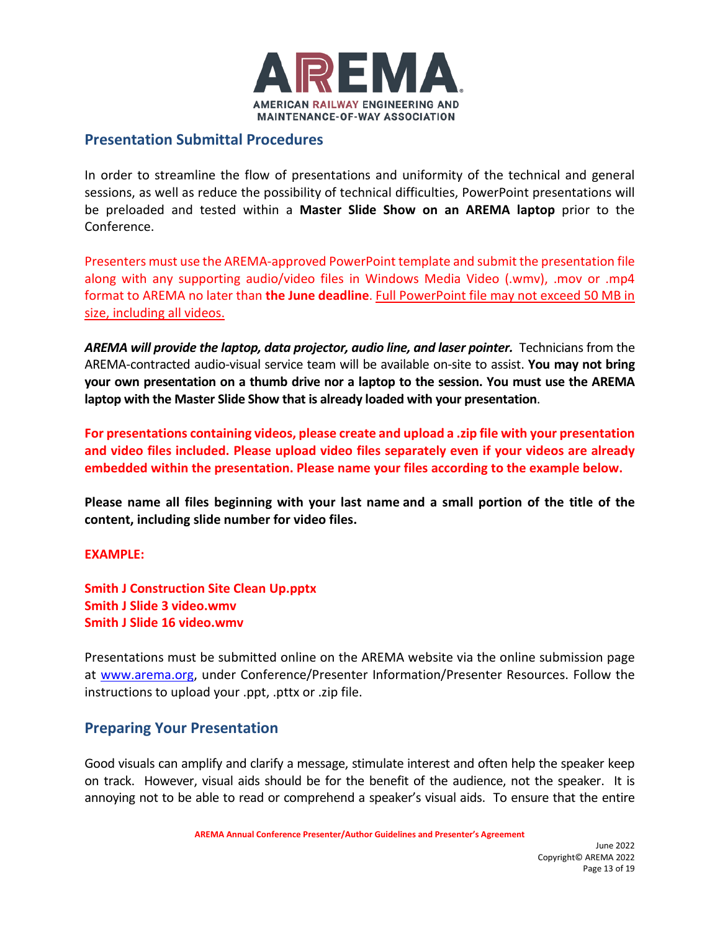

# **Presentation Submittal Procedures**

In order to streamline the flow of presentations and uniformity of the technical and general sessions, as well as reduce the possibility of technical difficulties, PowerPoint presentations will be preloaded and tested within a **Master Slide Show on an AREMA laptop** prior to the Conference.

Presenters must use the AREMA-approved PowerPoint template and submit the presentation file along with any supporting audio/video files in Windows Media Video (.wmv), .mov or .mp4 format to AREMA no later than **the June deadline**. Full PowerPoint file may not exceed 50 MB in size, including all videos.

*AREMA will provide the laptop, data projector, audio line, and laser pointer.* Technicians from the AREMA-contracted audio-visual service team will be available on-site to assist. **You may not bring your own presentation on a thumb drive nor a laptop to the session. You must use the AREMA laptop with the Master Slide Show that is already loaded with your presentation**.

**For presentations containing videos, please create and upload a .zip file with your presentation and video files included. Please upload video files separately even if your videos are already embedded within the presentation. Please name your files according to the example below.**

**Please name all files beginning with your last name and a small portion of the title of the content, including slide number for video files.** 

**EXAMPLE:**

**Smith J Construction Site Clean Up.pptx Smith J Slide 3 video.wmv Smith J Slide 16 video.wmv**

Presentations must be submitted online on the AREMA website via the online submission page at [www.arema.org,](http://www.arema.org/) under Conference/Presenter Information/Presenter Resources. Follow the instructions to upload your .ppt, .pttx or .zip file.

### **Preparing Your Presentation**

Good visuals can amplify and clarify a message, stimulate interest and often help the speaker keep on track. However, visual aids should be for the benefit of the audience, not the speaker. It is annoying not to be able to read or comprehend a speaker's visual aids. To ensure that the entire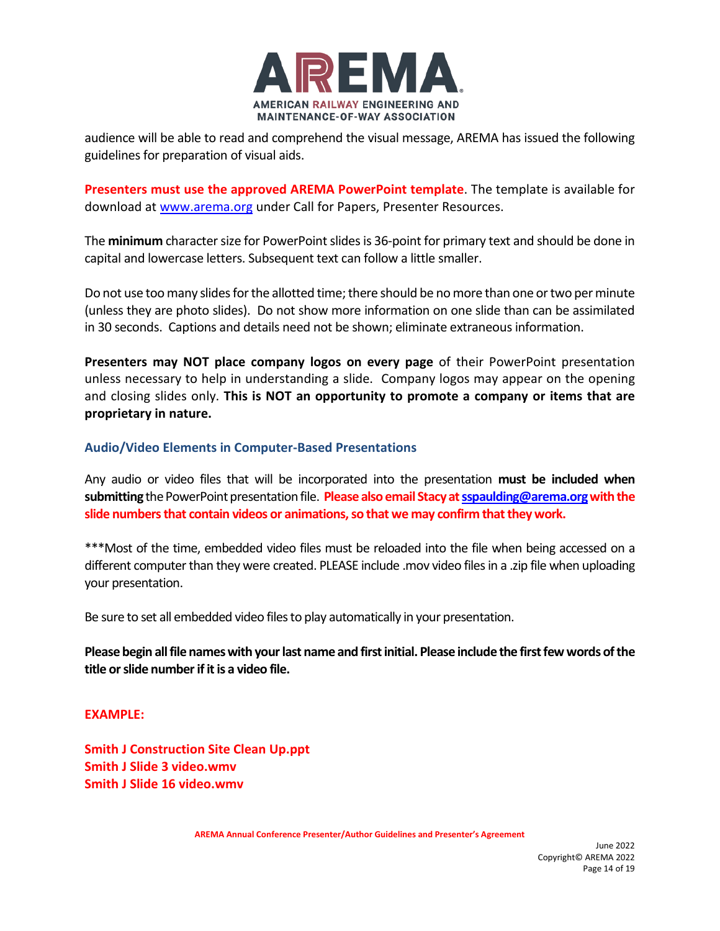

audience will be able to read and comprehend the visual message, AREMA has issued the following guidelines for preparation of visual aids.

**Presenters must use the approved AREMA PowerPoint template**. The template is available for download at [www.arema.org](http://www.arema.org/) under Call for Papers, Presenter Resources.

The **minimum** character size for PowerPoint slides is 36-point for primary text and should be done in capital and lowercase letters. Subsequent text can follow a little smaller.

Do not use too many slides for the allotted time; there should be no more than one or two per minute (unless they are photo slides). Do not show more information on one slide than can be assimilated in 30 seconds. Captions and details need not be shown; eliminate extraneous information.

**Presenters may NOT place company logos on every page** of their PowerPoint presentation unless necessary to help in understanding a slide. Company logos may appear on the opening and closing slides only. **This is NOT an opportunity to promote a company or items that are proprietary in nature.**

### **Audio/Video Elements in Computer-Based Presentations**

Any audio or video files that will be incorporated into the presentation **must be included when submitting**the PowerPoint presentation file. **Please also email Stacy a[t sspaulding@arema.orgw](mailto:sspaulding@arema.org)ith the slide numbers that contain videos or animations, so that we may confirm that they work.**

\*\*\*Most of the time, embedded video files must be reloaded into the file when being accessed on a different computer than they were created. PLEASE include .mov video files in a .zip file when uploading your presentation.

Be sure to set all embedded video files to play automatically in your presentation.

**Please begin all file names with your last name and first initial. Please include the first few words of the title or slide number if it is a video file.**

#### **EXAMPLE:**

**Smith J Construction Site Clean Up.ppt Smith J Slide 3 video.wmv Smith J Slide 16 video.wmv**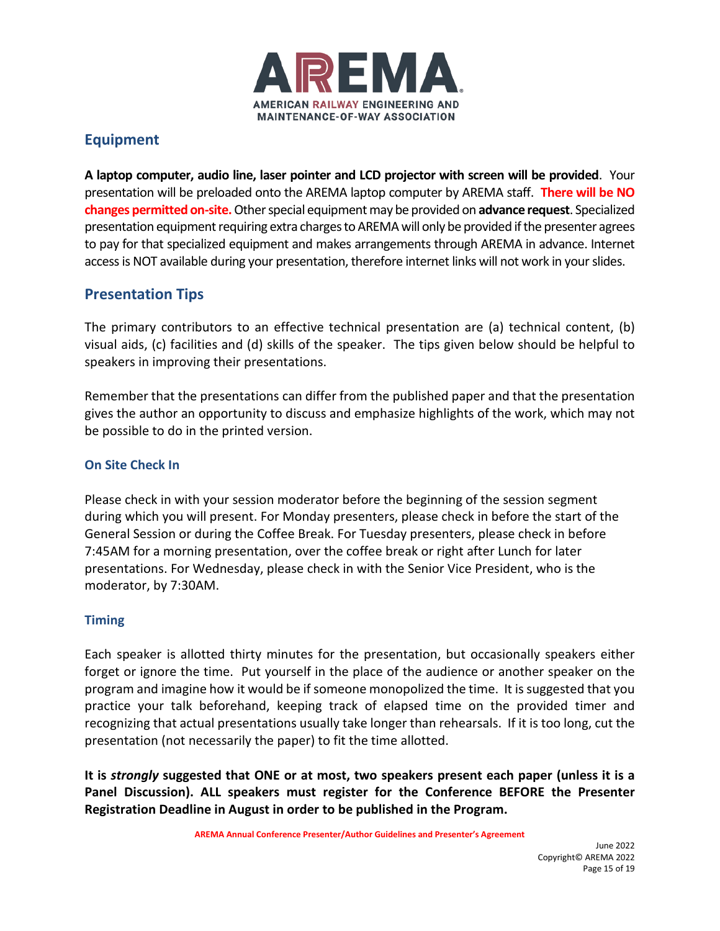

# **Equipment**

**A laptop computer, audio line, laser pointer and LCD projector with screen will be provided**. Your presentation will be preloaded onto the AREMA laptop computer by AREMA staff. **There will be NO changes permitted on-site.**Other special equipment may be provided on **advance request**. Specialized presentation equipment requiring extra charges to AREMA will only be provided if the presenter agrees to pay for that specialized equipment and makes arrangements through AREMA in advance. Internet access is NOT available during your presentation, therefore internet links will not work in your slides.

# **Presentation Tips**

The primary contributors to an effective technical presentation are (a) technical content, (b) visual aids, (c) facilities and (d) skills of the speaker. The tips given below should be helpful to speakers in improving their presentations.

Remember that the presentations can differ from the published paper and that the presentation gives the author an opportunity to discuss and emphasize highlights of the work, which may not be possible to do in the printed version.

## **On Site Check In**

Please check in with your session moderator before the beginning of the session segment during which you will present. For Monday presenters, please check in before the start of the General Session or during the Coffee Break. For Tuesday presenters, please check in before 7:45AM for a morning presentation, over the coffee break or right after Lunch for later presentations. For Wednesday, please check in with the Senior Vice President, who is the moderator, by 7:30AM.

### **Timing**

Each speaker is allotted thirty minutes for the presentation, but occasionally speakers either forget or ignore the time. Put yourself in the place of the audience or another speaker on the program and imagine how it would be if someone monopolized the time. It is suggested that you practice your talk beforehand, keeping track of elapsed time on the provided timer and recognizing that actual presentations usually take longer than rehearsals. If it is too long, cut the presentation (not necessarily the paper) to fit the time allotted.

**It is** *strongly* **suggested that ONE or at most, two speakers present each paper (unless it is a Panel Discussion). ALL speakers must register for the Conference BEFORE the Presenter Registration Deadline in August in order to be published in the Program.**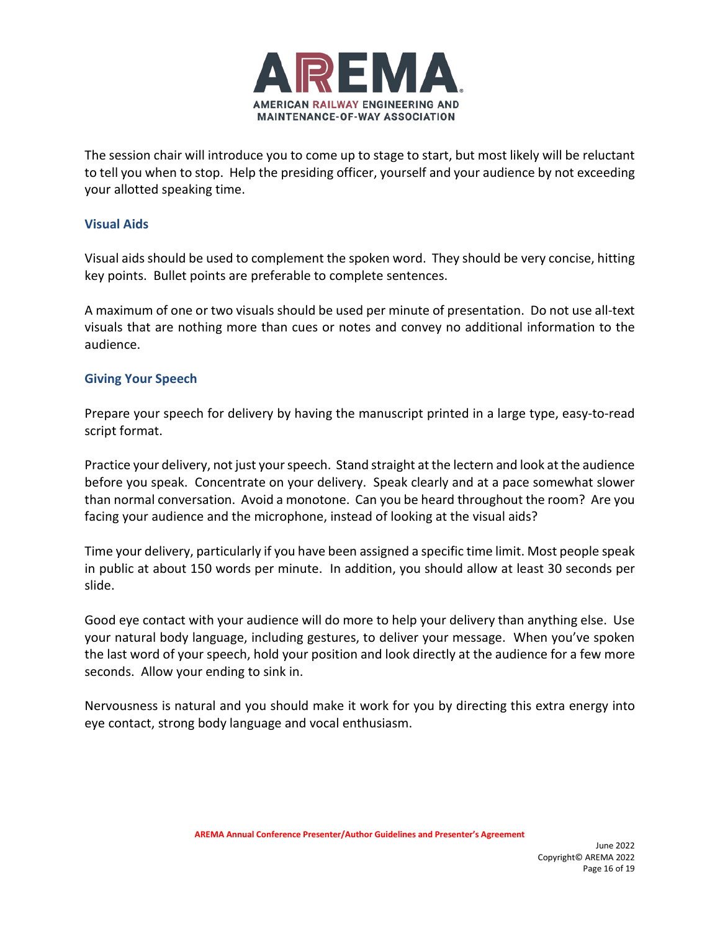

The session chair will introduce you to come up to stage to start, but most likely will be reluctant to tell you when to stop. Help the presiding officer, yourself and your audience by not exceeding your allotted speaking time.

### **Visual Aids**

Visual aids should be used to complement the spoken word. They should be very concise, hitting key points. Bullet points are preferable to complete sentences.

A maximum of one or two visuals should be used per minute of presentation. Do not use all-text visuals that are nothing more than cues or notes and convey no additional information to the audience.

### **Giving Your Speech**

Prepare your speech for delivery by having the manuscript printed in a large type, easy-to-read script format.

Practice your delivery, not just your speech. Stand straight at the lectern and look at the audience before you speak. Concentrate on your delivery. Speak clearly and at a pace somewhat slower than normal conversation. Avoid a monotone. Can you be heard throughout the room? Are you facing your audience and the microphone, instead of looking at the visual aids?

Time your delivery, particularly if you have been assigned a specific time limit. Most people speak in public at about 150 words per minute. In addition, you should allow at least 30 seconds per slide.

Good eye contact with your audience will do more to help your delivery than anything else. Use your natural body language, including gestures, to deliver your message. When you've spoken the last word of your speech, hold your position and look directly at the audience for a few more seconds. Allow your ending to sink in.

Nervousness is natural and you should make it work for you by directing this extra energy into eye contact, strong body language and vocal enthusiasm.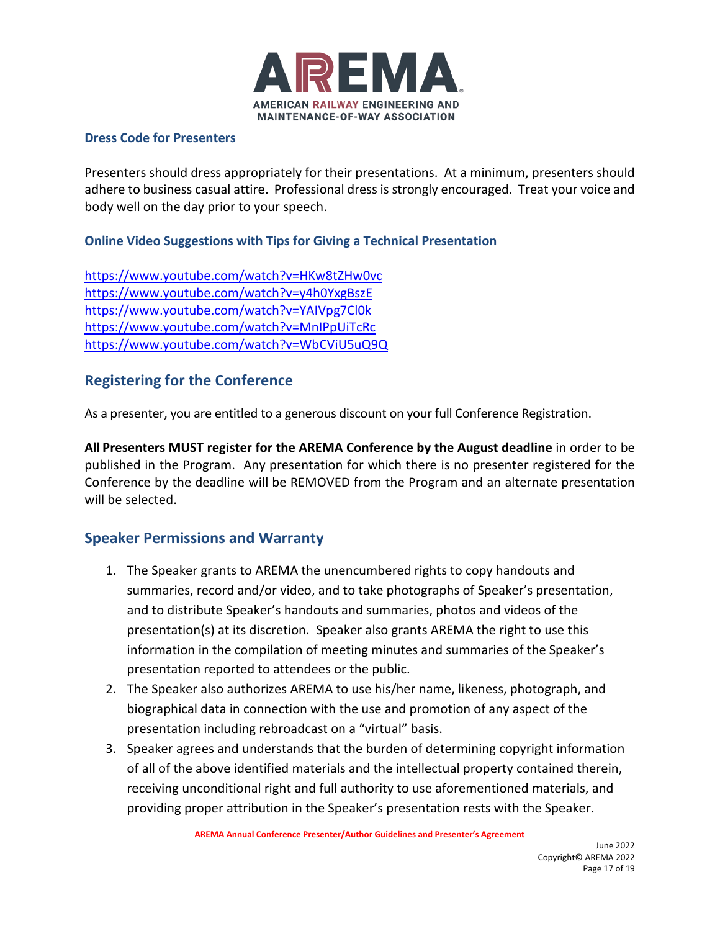

### **Dress Code for Presenters**

Presenters should dress appropriately for their presentations. At a minimum, presenters should adhere to business casual attire. Professional dress is strongly encouraged. Treat your voice and body well on the day prior to your speech.

### **Online Video Suggestions with Tips for Giving a Technical Presentation**

<https://www.youtube.com/watch?v=HKw8tZHw0vc> <https://www.youtube.com/watch?v=y4h0YxgBszE> <https://www.youtube.com/watch?v=YAIVpg7Cl0k> <https://www.youtube.com/watch?v=MnIPpUiTcRc> <https://www.youtube.com/watch?v=WbCViU5uQ9Q>

# **Registering for the Conference**

As a presenter, you are entitled to a generous discount on your full Conference Registration.

**All Presenters MUST register for the AREMA Conference by the August deadline** in order to be published in the Program. Any presentation for which there is no presenter registered for the Conference by the deadline will be REMOVED from the Program and an alternate presentation will be selected.

# **Speaker Permissions and Warranty**

- 1. The Speaker grants to AREMA the unencumbered rights to copy handouts and summaries, record and/or video, and to take photographs of Speaker's presentation, and to distribute Speaker's handouts and summaries, photos and videos of the presentation(s) at its discretion. Speaker also grants AREMA the right to use this information in the compilation of meeting minutes and summaries of the Speaker's presentation reported to attendees or the public.
- 2. The Speaker also authorizes AREMA to use his/her name, likeness, photograph, and biographical data in connection with the use and promotion of any aspect of the presentation including rebroadcast on a "virtual" basis.
- 3. Speaker agrees and understands that the burden of determining copyright information of all of the above identified materials and the intellectual property contained therein, receiving unconditional right and full authority to use aforementioned materials, and providing proper attribution in the Speaker's presentation rests with the Speaker.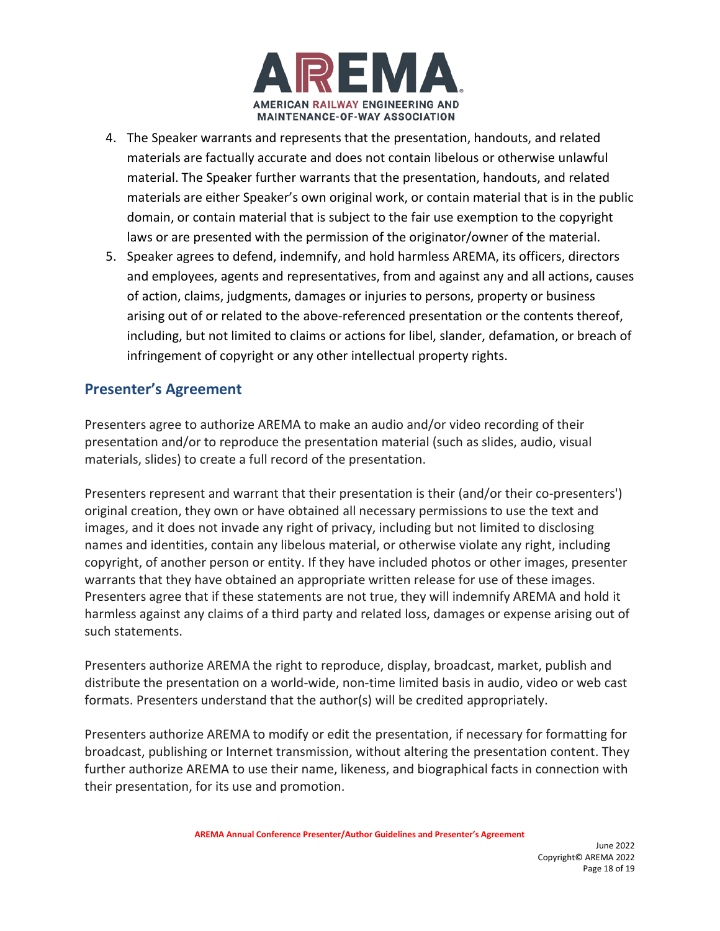

- 4. The Speaker warrants and represents that the presentation, handouts, and related materials are factually accurate and does not contain libelous or otherwise unlawful material. The Speaker further warrants that the presentation, handouts, and related materials are either Speaker's own original work, or contain material that is in the public domain, or contain material that is subject to the fair use exemption to the copyright laws or are presented with the permission of the originator/owner of the material.
- 5. Speaker agrees to defend, indemnify, and hold harmless AREMA, its officers, directors and employees, agents and representatives, from and against any and all actions, causes of action, claims, judgments, damages or injuries to persons, property or business arising out of or related to the above-referenced presentation or the contents thereof, including, but not limited to claims or actions for libel, slander, defamation, or breach of infringement of copyright or any other intellectual property rights.

# **Presenter's Agreement**

Presenters agree to authorize AREMA to make an audio and/or video recording of their presentation and/or to reproduce the presentation material (such as slides, audio, visual materials, slides) to create a full record of the presentation.

Presenters represent and warrant that their presentation is their (and/or their co-presenters') original creation, they own or have obtained all necessary permissions to use the text and images, and it does not invade any right of privacy, including but not limited to disclosing names and identities, contain any libelous material, or otherwise violate any right, including copyright, of another person or entity. If they have included photos or other images, presenter warrants that they have obtained an appropriate written release for use of these images. Presenters agree that if these statements are not true, they will indemnify AREMA and hold it harmless against any claims of a third party and related loss, damages or expense arising out of such statements.

Presenters authorize AREMA the right to reproduce, display, broadcast, market, publish and distribute the presentation on a world-wide, non-time limited basis in audio, video or web cast formats. Presenters understand that the author(s) will be credited appropriately.

Presenters authorize AREMA to modify or edit the presentation, if necessary for formatting for broadcast, publishing or Internet transmission, without altering the presentation content. They further authorize AREMA to use their name, likeness, and biographical facts in connection with their presentation, for its use and promotion.